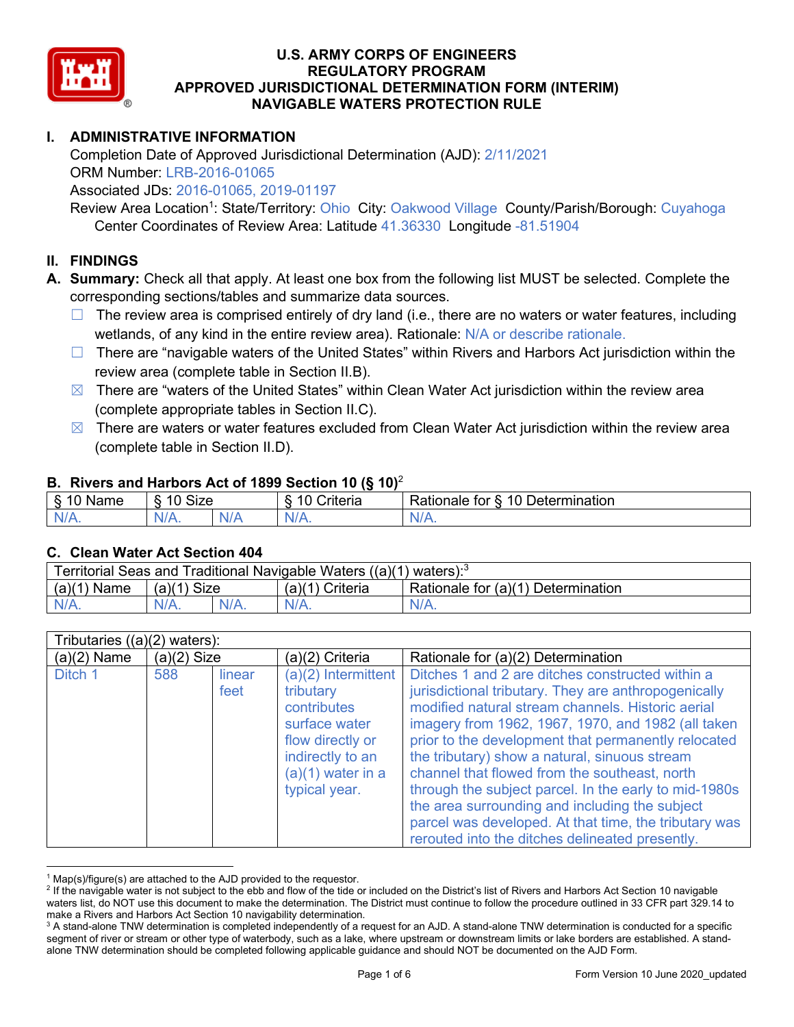

# **I. ADMINISTRATIVE INFORMATION**

Completion Date of Approved Jurisdictional Determination (AJD): 2/11/2021 ORM Number: LRB-2016-01065

Associated JDs: 2016-01065, 2019-01197

Review Area Location<sup>1</sup>: State/Territory: Ohio City: Oakwood Village County/Parish/Borough: Cuyahoga Center Coordinates of Review Area: Latitude 41.36330 Longitude -81.51904

### **II. FINDINGS**

**A. Summary:** Check all that apply. At least one box from the following list MUST be selected. Complete the corresponding sections/tables and summarize data sources.

- $\Box$  The review area is comprised entirely of dry land (i.e., there are no waters or water features, including wetlands, of any kind in the entire review area). Rationale: N/A or describe rationale.
- $\Box$  There are "navigable waters of the United States" within Rivers and Harbors Act jurisdiction within the review area (complete table in Section II.B).
- $\boxtimes$  There are "waters of the United States" within Clean Water Act jurisdiction within the review area (complete appropriate tables in Section II.C).
- $\boxtimes$  There are waters or water features excluded from Clean Water Act jurisdiction within the review area (complete table in Section II.D).

### **B. Rivers and Harbors Act of 1899 Section 10 (§ 10)**<sup>2</sup>

|               | $\cdot$              |      |                                        |                                                                     |  |  |  |
|---------------|----------------------|------|----------------------------------------|---------------------------------------------------------------------|--|--|--|
| .<br>ame<br>w | 10<br>$\sim$<br>SIZE |      | 10<br>$\sim$ $\sim$<br><i>I</i> nteria | 10<br>$\overline{\phantom{a}}$<br>⊃etermınatıon<br>tor<br>≺atıonale |  |  |  |
| $N/A$ .       | NI/4<br>$J\Gamma$    | NI F | 97 / TV                                | ъ.<br>$\mathbf{v}$                                                  |  |  |  |

### **C. Clean Water Act Section 404**

| Territorial Seas and Traditional Navigable Waters $((a)(1)$ waters): <sup>3</sup> |                |  |                 |                                    |  |
|-----------------------------------------------------------------------------------|----------------|--|-----------------|------------------------------------|--|
| (a)(1)<br>Name                                                                    | Size<br>(a)(1) |  | (a)(1) Criteria | Rationale for (a)(1) Determination |  |
|                                                                                   | $N/A$ .        |  | $N/A$ .         | $N/A$ .                            |  |

| Tributaries $((a)(2)$ waters): |               |                |                                                                                                                                                    |                                                                                                                                                                                                                                                                                                                                                                                                                                                                                                                                                                                                     |  |  |
|--------------------------------|---------------|----------------|----------------------------------------------------------------------------------------------------------------------------------------------------|-----------------------------------------------------------------------------------------------------------------------------------------------------------------------------------------------------------------------------------------------------------------------------------------------------------------------------------------------------------------------------------------------------------------------------------------------------------------------------------------------------------------------------------------------------------------------------------------------------|--|--|
| $(a)(2)$ Name                  | $(a)(2)$ Size |                | (a)(2) Criteria                                                                                                                                    | Rationale for (a)(2) Determination                                                                                                                                                                                                                                                                                                                                                                                                                                                                                                                                                                  |  |  |
| Ditch 1                        | 588           | linear<br>feet | $(a)(2)$ Intermittent<br>tributary<br>contributes<br>surface water<br>flow directly or<br>indirectly to an<br>$(a)(1)$ water in a<br>typical year. | Ditches 1 and 2 are ditches constructed within a<br>jurisdictional tributary. They are anthropogenically<br>modified natural stream channels. Historic aerial<br>imagery from 1962, 1967, 1970, and 1982 (all taken<br>prior to the development that permanently relocated<br>the tributary) show a natural, sinuous stream<br>channel that flowed from the southeast, north<br>through the subject parcel. In the early to mid-1980s<br>the area surrounding and including the subject<br>parcel was developed. At that time, the tributary was<br>rerouted into the ditches delineated presently. |  |  |

 $^1$  Map(s)/figure(s) are attached to the AJD provided to the requestor.<br><sup>2</sup> If the navigable water is not subject to the ebb and flow of the tide or included on the District's list of Rivers and Harbors Act Section 10 na waters list, do NOT use this document to make the determination. The District must continue to follow the procedure outlined in 33 CFR part 329.14 to make a Rivers and Harbors Act Section 10 navigability determination.

<sup>&</sup>lt;sup>3</sup> A stand-alone TNW determination is completed independently of a request for an AJD. A stand-alone TNW determination is conducted for a specific segment of river or stream or other type of waterbody, such as a lake, where upstream or downstream limits or lake borders are established. A standalone TNW determination should be completed following applicable guidance and should NOT be documented on the AJD Form.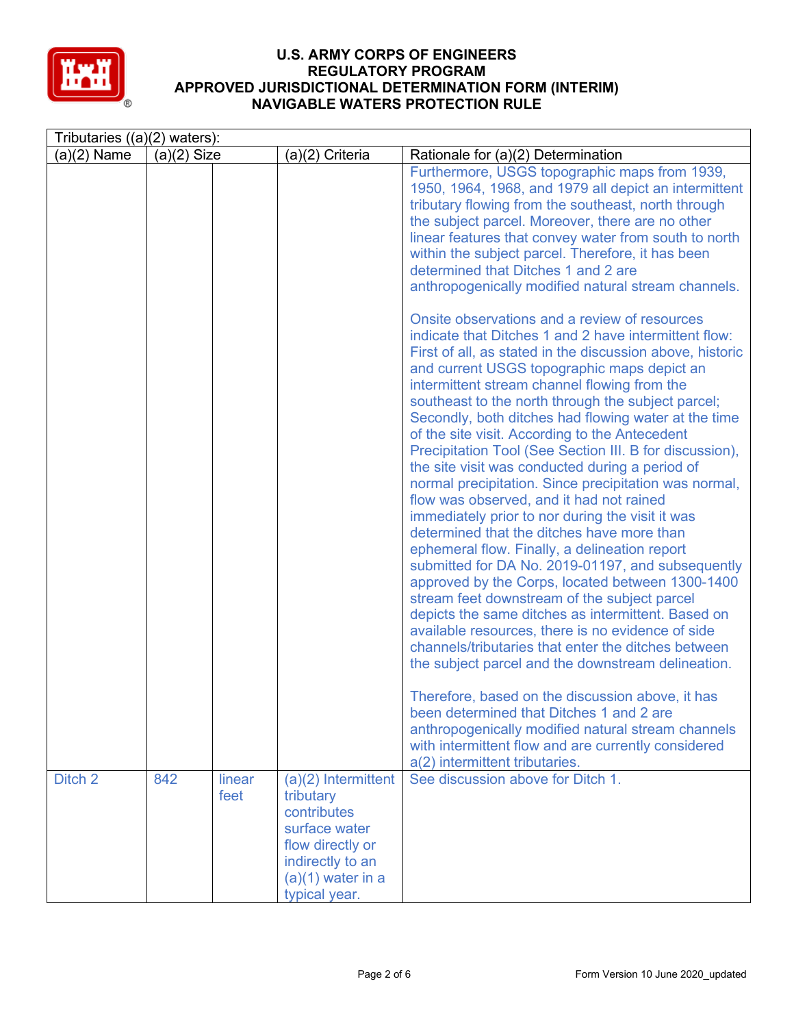

| Tributaries $((a)(2)$ waters): |               |                |                                                                                                                                                    |                                                                                                                                                                                                                                                                                                                                                                                                                                                                                                                                                                                                                                                                                                                                                                                                                                                                                                                                                                                                                                                                                                                                                                                                                                                                                                                                                                                                        |  |
|--------------------------------|---------------|----------------|----------------------------------------------------------------------------------------------------------------------------------------------------|--------------------------------------------------------------------------------------------------------------------------------------------------------------------------------------------------------------------------------------------------------------------------------------------------------------------------------------------------------------------------------------------------------------------------------------------------------------------------------------------------------------------------------------------------------------------------------------------------------------------------------------------------------------------------------------------------------------------------------------------------------------------------------------------------------------------------------------------------------------------------------------------------------------------------------------------------------------------------------------------------------------------------------------------------------------------------------------------------------------------------------------------------------------------------------------------------------------------------------------------------------------------------------------------------------------------------------------------------------------------------------------------------------|--|
| $(a)(2)$ Name                  | $(a)(2)$ Size |                | (a)(2) Criteria                                                                                                                                    | Rationale for (a)(2) Determination                                                                                                                                                                                                                                                                                                                                                                                                                                                                                                                                                                                                                                                                                                                                                                                                                                                                                                                                                                                                                                                                                                                                                                                                                                                                                                                                                                     |  |
|                                |               |                |                                                                                                                                                    | Furthermore, USGS topographic maps from 1939,<br>1950, 1964, 1968, and 1979 all depict an intermittent<br>tributary flowing from the southeast, north through<br>the subject parcel. Moreover, there are no other<br>linear features that convey water from south to north<br>within the subject parcel. Therefore, it has been<br>determined that Ditches 1 and 2 are<br>anthropogenically modified natural stream channels.                                                                                                                                                                                                                                                                                                                                                                                                                                                                                                                                                                                                                                                                                                                                                                                                                                                                                                                                                                          |  |
|                                |               |                |                                                                                                                                                    | Onsite observations and a review of resources<br>indicate that Ditches 1 and 2 have intermittent flow:<br>First of all, as stated in the discussion above, historic<br>and current USGS topographic maps depict an<br>intermittent stream channel flowing from the<br>southeast to the north through the subject parcel;<br>Secondly, both ditches had flowing water at the time<br>of the site visit. According to the Antecedent<br>Precipitation Tool (See Section III. B for discussion),<br>the site visit was conducted during a period of<br>normal precipitation. Since precipitation was normal,<br>flow was observed, and it had not rained<br>immediately prior to nor during the visit it was<br>determined that the ditches have more than<br>ephemeral flow. Finally, a delineation report<br>submitted for DA No. 2019-01197, and subsequently<br>approved by the Corps, located between 1300-1400<br>stream feet downstream of the subject parcel<br>depicts the same ditches as intermittent. Based on<br>available resources, there is no evidence of side<br>channels/tributaries that enter the ditches between<br>the subject parcel and the downstream delineation.<br>Therefore, based on the discussion above, it has<br>been determined that Ditches 1 and 2 are<br>anthropogenically modified natural stream channels<br>with intermittent flow and are currently considered |  |
|                                |               |                |                                                                                                                                                    | a(2) intermittent tributaries.                                                                                                                                                                                                                                                                                                                                                                                                                                                                                                                                                                                                                                                                                                                                                                                                                                                                                                                                                                                                                                                                                                                                                                                                                                                                                                                                                                         |  |
| Ditch 2                        | 842           | linear<br>feet | $(a)(2)$ Intermittent<br>tributary<br>contributes<br>surface water<br>flow directly or<br>indirectly to an<br>$(a)(1)$ water in a<br>typical year. | See discussion above for Ditch 1.                                                                                                                                                                                                                                                                                                                                                                                                                                                                                                                                                                                                                                                                                                                                                                                                                                                                                                                                                                                                                                                                                                                                                                                                                                                                                                                                                                      |  |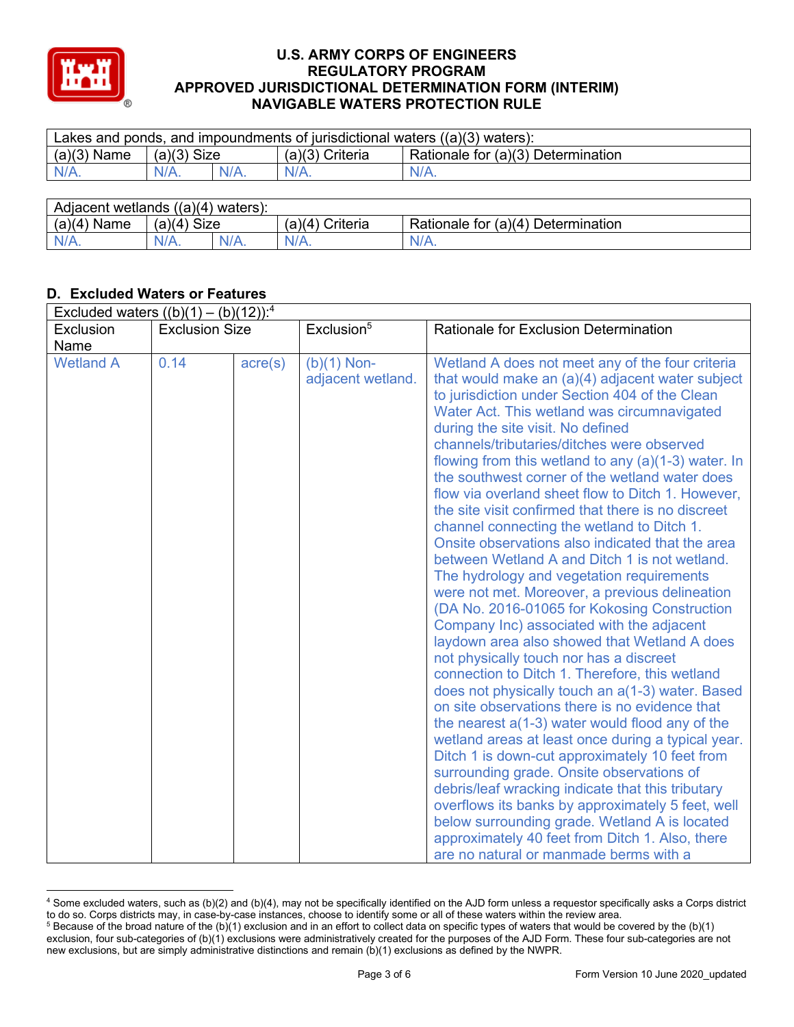

| Lakes and ponds, and impoundments of jurisdictional waters $((a)(3)$ waters): |               |         |                   |                                    |  |
|-------------------------------------------------------------------------------|---------------|---------|-------------------|------------------------------------|--|
| $(a)(3)$ Name                                                                 | $(a)(3)$ Size |         | $(a)(3)$ Criteria | Rationale for (a)(3) Determination |  |
| $N/A$ .                                                                       | $N/A$ .       | $N/A$ . | $N/A$ .           | $N/A$ .                            |  |
|                                                                               |               |         |                   |                                    |  |

| Adjacent wetlands $((a)(4)$ waters): |                       |         |                    |                                    |  |  |
|--------------------------------------|-----------------------|---------|--------------------|------------------------------------|--|--|
| $(a)(4)$ Name                        | <b>Size</b><br>(a)(4) |         | Criteria<br>(a)(4) | Rationale for (a)(4) Determination |  |  |
| $N/A$ .                              | $N/A$ .               | $N/A$ . | $N/A$ .            | $N/A$ .                            |  |  |

# **D. Excluded Waters or Features**

|                  | Excluded waters $((b)(1) - (b)(12))$ : <sup>4</sup> |                  |                                    |                                                                                                                                                                                                                                                                                                                                                                                                                                                                                                                                                                                                                                                                                                                                                                                                                                                                                                                                                                                                                                                                                                                                                                                                                                                                                                                                                                                                                                                                                                                                                                                  |  |  |
|------------------|-----------------------------------------------------|------------------|------------------------------------|----------------------------------------------------------------------------------------------------------------------------------------------------------------------------------------------------------------------------------------------------------------------------------------------------------------------------------------------------------------------------------------------------------------------------------------------------------------------------------------------------------------------------------------------------------------------------------------------------------------------------------------------------------------------------------------------------------------------------------------------------------------------------------------------------------------------------------------------------------------------------------------------------------------------------------------------------------------------------------------------------------------------------------------------------------------------------------------------------------------------------------------------------------------------------------------------------------------------------------------------------------------------------------------------------------------------------------------------------------------------------------------------------------------------------------------------------------------------------------------------------------------------------------------------------------------------------------|--|--|
| Exclusion        | <b>Exclusion Size</b>                               |                  | Exclusion <sup>5</sup>             | <b>Rationale for Exclusion Determination</b>                                                                                                                                                                                                                                                                                                                                                                                                                                                                                                                                                                                                                                                                                                                                                                                                                                                                                                                                                                                                                                                                                                                                                                                                                                                                                                                                                                                                                                                                                                                                     |  |  |
| Name             |                                                     |                  |                                    |                                                                                                                                                                                                                                                                                                                                                                                                                                                                                                                                                                                                                                                                                                                                                                                                                                                                                                                                                                                                                                                                                                                                                                                                                                                                                                                                                                                                                                                                                                                                                                                  |  |  |
| <b>Wetland A</b> | 0.14                                                | $\text{acre}(s)$ | $(b)(1)$ Non-<br>adjacent wetland. | Wetland A does not meet any of the four criteria<br>that would make an (a)(4) adjacent water subject<br>to jurisdiction under Section 404 of the Clean<br>Water Act. This wetland was circumnavigated<br>during the site visit. No defined<br>channels/tributaries/ditches were observed<br>flowing from this wetland to any $(a)(1-3)$ water. In<br>the southwest corner of the wetland water does<br>flow via overland sheet flow to Ditch 1. However,<br>the site visit confirmed that there is no discreet<br>channel connecting the wetland to Ditch 1.<br>Onsite observations also indicated that the area<br>between Wetland A and Ditch 1 is not wetland.<br>The hydrology and vegetation requirements<br>were not met. Moreover, a previous delineation<br>(DA No. 2016-01065 for Kokosing Construction<br>Company Inc) associated with the adjacent<br>laydown area also showed that Wetland A does<br>not physically touch nor has a discreet<br>connection to Ditch 1. Therefore, this wetland<br>does not physically touch an a(1-3) water. Based<br>on site observations there is no evidence that<br>the nearest a(1-3) water would flood any of the<br>wetland areas at least once during a typical year.<br>Ditch 1 is down-cut approximately 10 feet from<br>surrounding grade. Onsite observations of<br>debris/leaf wracking indicate that this tributary<br>overflows its banks by approximately 5 feet, well<br>below surrounding grade. Wetland A is located<br>approximately 40 feet from Ditch 1. Also, there<br>are no natural or manmade berms with a |  |  |

<sup>4</sup> Some excluded waters, such as (b)(2) and (b)(4), may not be specifically identified on the AJD form unless a requestor specifically asks a Corps district to do so. Corps districts may, in case-by-case instances, choose to identify some or all of these waters within the review area.

 $5$  Because of the broad nature of the (b)(1) exclusion and in an effort to collect data on specific types of waters that would be covered by the (b)(1) exclusion, four sub-categories of (b)(1) exclusions were administratively created for the purposes of the AJD Form. These four sub-categories are not new exclusions, but are simply administrative distinctions and remain (b)(1) exclusions as defined by the NWPR.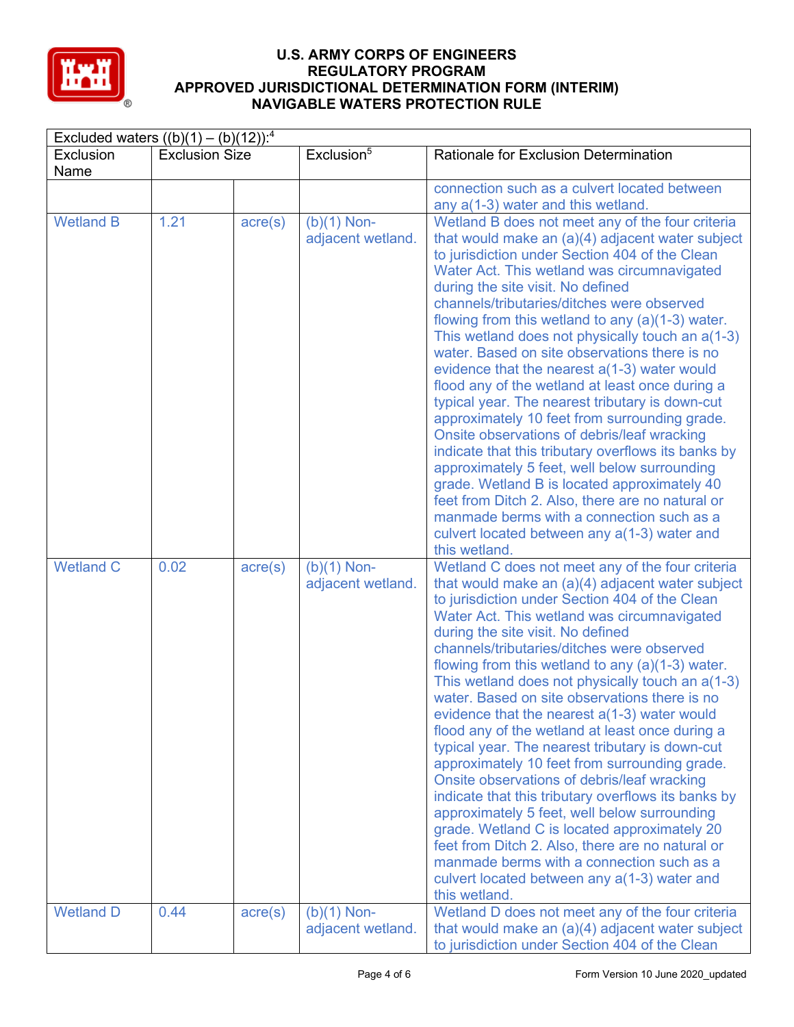

| Excluded waters $((b)(1) - (b)(12))$ : <sup>4</sup> |                       |                  |                                    |                                                                                                                                                                                                                                                                                                                                                                                                                                                                                                                                                                                                                                                                                                                                                                                                                                                                                                                                                                                                                                      |  |
|-----------------------------------------------------|-----------------------|------------------|------------------------------------|--------------------------------------------------------------------------------------------------------------------------------------------------------------------------------------------------------------------------------------------------------------------------------------------------------------------------------------------------------------------------------------------------------------------------------------------------------------------------------------------------------------------------------------------------------------------------------------------------------------------------------------------------------------------------------------------------------------------------------------------------------------------------------------------------------------------------------------------------------------------------------------------------------------------------------------------------------------------------------------------------------------------------------------|--|
| Exclusion<br>Name                                   | <b>Exclusion Size</b> |                  | Exclusion <sup>5</sup>             | <b>Rationale for Exclusion Determination</b>                                                                                                                                                                                                                                                                                                                                                                                                                                                                                                                                                                                                                                                                                                                                                                                                                                                                                                                                                                                         |  |
|                                                     |                       |                  |                                    | connection such as a culvert located between<br>any a(1-3) water and this wetland.                                                                                                                                                                                                                                                                                                                                                                                                                                                                                                                                                                                                                                                                                                                                                                                                                                                                                                                                                   |  |
| <b>Wetland B</b>                                    | 1.21                  | $\text{acre}(s)$ | $(b)(1)$ Non-<br>adjacent wetland. | Wetland B does not meet any of the four criteria<br>that would make an (a)(4) adjacent water subject<br>to jurisdiction under Section 404 of the Clean<br>Water Act. This wetland was circumnavigated<br>during the site visit. No defined<br>channels/tributaries/ditches were observed<br>flowing from this wetland to any $(a)(1-3)$ water.<br>This wetland does not physically touch an a(1-3)<br>water. Based on site observations there is no<br>evidence that the nearest $a(1-3)$ water would<br>flood any of the wetland at least once during a<br>typical year. The nearest tributary is down-cut<br>approximately 10 feet from surrounding grade.<br>Onsite observations of debris/leaf wracking<br>indicate that this tributary overflows its banks by<br>approximately 5 feet, well below surrounding<br>grade. Wetland B is located approximately 40<br>feet from Ditch 2. Also, there are no natural or<br>manmade berms with a connection such as a<br>culvert located between any a(1-3) water and<br>this wetland. |  |
| <b>Wetland C</b>                                    | 0.02                  | $\text{acre}(s)$ | $(b)(1)$ Non-<br>adjacent wetland. | Wetland C does not meet any of the four criteria<br>that would make an (a)(4) adjacent water subject<br>to jurisdiction under Section 404 of the Clean<br>Water Act. This wetland was circumnavigated<br>during the site visit. No defined<br>channels/tributaries/ditches were observed<br>flowing from this wetland to any $(a)(1-3)$ water.<br>This wetland does not physically touch an a(1-3)<br>water. Based on site observations there is no<br>evidence that the nearest $a(1-3)$ water would<br>flood any of the wetland at least once during a<br>typical year. The nearest tributary is down-cut<br>approximately 10 feet from surrounding grade.<br>Onsite observations of debris/leaf wracking<br>indicate that this tributary overflows its banks by<br>approximately 5 feet, well below surrounding<br>grade. Wetland C is located approximately 20<br>feet from Ditch 2. Also, there are no natural or<br>manmade berms with a connection such as a<br>culvert located between any a(1-3) water and<br>this wetland. |  |
| <b>Wetland D</b>                                    | 0.44                  | $\text{acre}(s)$ | $(b)(1)$ Non-<br>adjacent wetland. | Wetland D does not meet any of the four criteria<br>that would make an (a)(4) adjacent water subject<br>to jurisdiction under Section 404 of the Clean                                                                                                                                                                                                                                                                                                                                                                                                                                                                                                                                                                                                                                                                                                                                                                                                                                                                               |  |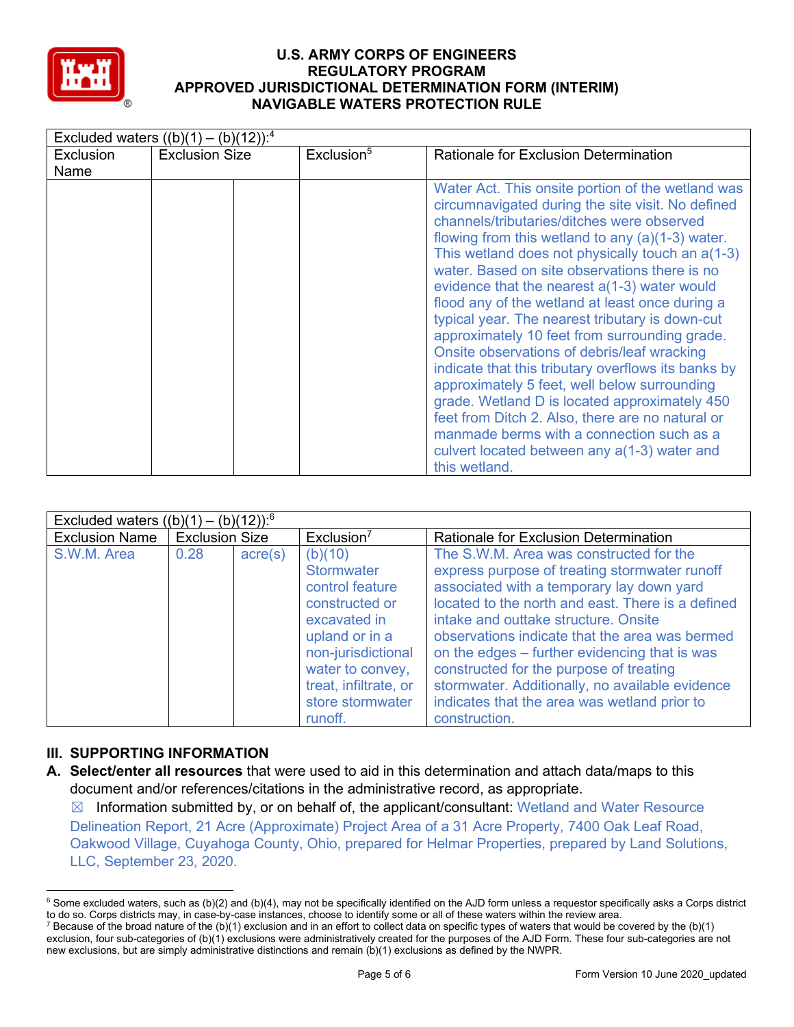

| Excluded waters $((b)(1) - (b)(12))$ : <sup>4</sup> |                       |                        |                                                                                                                                                                                                                                                                                                                                                                                                                                                                                                                                                                                                                                                                                                                                                                                                                                                                                                 |  |  |  |  |
|-----------------------------------------------------|-----------------------|------------------------|-------------------------------------------------------------------------------------------------------------------------------------------------------------------------------------------------------------------------------------------------------------------------------------------------------------------------------------------------------------------------------------------------------------------------------------------------------------------------------------------------------------------------------------------------------------------------------------------------------------------------------------------------------------------------------------------------------------------------------------------------------------------------------------------------------------------------------------------------------------------------------------------------|--|--|--|--|
| <b>Exclusion</b><br>Name                            | <b>Exclusion Size</b> | Exclusion <sup>5</sup> | <b>Rationale for Exclusion Determination</b>                                                                                                                                                                                                                                                                                                                                                                                                                                                                                                                                                                                                                                                                                                                                                                                                                                                    |  |  |  |  |
|                                                     |                       |                        | Water Act. This onsite portion of the wetland was<br>circumnavigated during the site visit. No defined<br>channels/tributaries/ditches were observed<br>flowing from this wetland to any $(a)(1-3)$ water.<br>This wetland does not physically touch an a(1-3)<br>water. Based on site observations there is no<br>evidence that the nearest a(1-3) water would<br>flood any of the wetland at least once during a<br>typical year. The nearest tributary is down-cut<br>approximately 10 feet from surrounding grade.<br>Onsite observations of debris/leaf wracking<br>indicate that this tributary overflows its banks by<br>approximately 5 feet, well below surrounding<br>grade. Wetland D is located approximately 450<br>feet from Ditch 2. Also, there are no natural or<br>manmade berms with a connection such as a<br>culvert located between any a(1-3) water and<br>this wetland. |  |  |  |  |

| Excluded waters $((b)(1) - (b)(12))$ <sup>6</sup> |                       |                  |                                                                                                                                                                                                       |                                                                                                                                                                                                                                                                                                                                                                                                                                                                                                      |  |  |
|---------------------------------------------------|-----------------------|------------------|-------------------------------------------------------------------------------------------------------------------------------------------------------------------------------------------------------|------------------------------------------------------------------------------------------------------------------------------------------------------------------------------------------------------------------------------------------------------------------------------------------------------------------------------------------------------------------------------------------------------------------------------------------------------------------------------------------------------|--|--|
| <b>Exclusion Name</b>                             | <b>Exclusion Size</b> |                  | Exclusion <sup>7</sup>                                                                                                                                                                                | Rationale for Exclusion Determination                                                                                                                                                                                                                                                                                                                                                                                                                                                                |  |  |
| S.W.M. Area                                       | 0.28                  | $\text{acre}(s)$ | (b)(10)<br><b>Stormwater</b><br>control feature<br>constructed or<br>excavated in<br>upland or in a<br>non-jurisdictional<br>water to convey,<br>treat, infiltrate, or<br>store stormwater<br>runoff. | The S.W.M. Area was constructed for the<br>express purpose of treating stormwater runoff<br>associated with a temporary lay down yard<br>located to the north and east. There is a defined<br>intake and outtake structure. Onsite<br>observations indicate that the area was bermed<br>on the edges – further evidencing that is was<br>constructed for the purpose of treating<br>stormwater. Additionally, no available evidence<br>indicates that the area was wetland prior to<br>construction. |  |  |

## **III. SUPPORTING INFORMATION**

**A. Select/enter all resources** that were used to aid in this determination and attach data/maps to this document and/or references/citations in the administrative record, as appropriate.

 $\boxtimes$  Information submitted by, or on behalf of, the applicant/consultant: Wetland and Water Resource Delineation Report, 21 Acre (Approximate) Project Area of a 31 Acre Property, 7400 Oak Leaf Road, Oakwood Village, Cuyahoga County, Ohio, prepared for Helmar Properties, prepared by Land Solutions, LLC, September 23, 2020.

 $6$  Some excluded waters, such as (b)(2) and (b)(4), may not be specifically identified on the AJD form unless a requestor specifically asks a Corps district to do so. Corps districts may, in case-by-case instances, choose to identify some or all of these waters within the review area.

<sup>&</sup>lt;sup>7</sup> Because of the broad nature of the (b)(1) exclusion and in an effort to collect data on specific types of waters that would be covered by the (b)(1) exclusion, four sub-categories of (b)(1) exclusions were administratively created for the purposes of the AJD Form. These four sub-categories are not new exclusions, but are simply administrative distinctions and remain (b)(1) exclusions as defined by the NWPR.